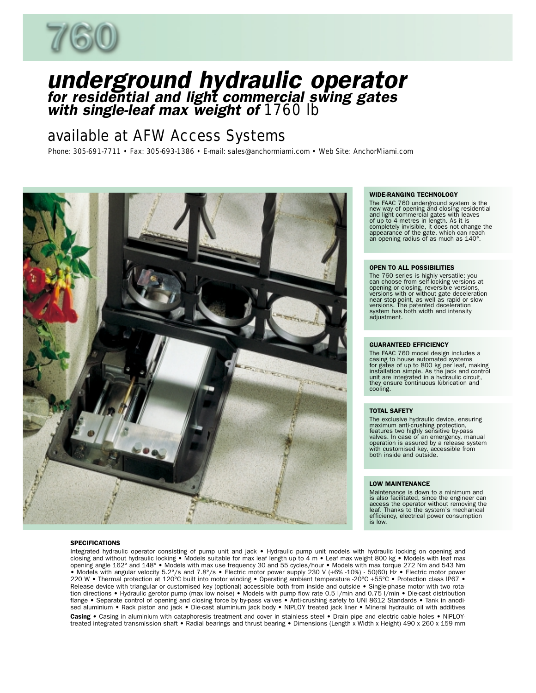

# underground hydraulic operator for residential and light commercial swing gates<br>with single-leaf max weight of 1760 lb

## *available at AFW Access Systems*

*Phone: 305-691-7711 • Fax: 305-693-1386 • E-mail: sales@anchormiami.com • Web Site: AnchorMiami.com*



#### **SPECIFICATIONS**

Integrated hydraulic operator consisting of pump unit and jack • Hydraulic pump unit models with hydraulic locking on opening and<br>closing and without hydraulic locking • Models suitable for max leaf length up to 4 m • Leaf opening angle 162° and 148° • Models with max use frequency 30 and 55 cycles/hour • Models with max torque 272 Nm and 543 Nm • Models with angular velocity 5.2°/s and 7.8°/s • Electric motor power supply 230 V (+6% -10%) - 50(60) Hz • Electric motor power<br>\* 220 W • Thermal protection at 120°C built into motor winding • Operating ambient temperat Release device with triangular or customised key (optional) accessible both from inside and outside • Single-phase motor with two rotation directions • Hydraulic gerotor pump (max low noise) • Models with pump flow rate 0.5 l/min and 0.75 l/min • Die-cast distribution flange • Separate control of opening and closing force by by-pass valves • Anti-crushing safety to UNI 8612 Standards • Tank in anodised aluminium • Rack piston and jack • Die-cast aluminium jack body • NIPLOY treated jack liner • Mineral hydraulic oil with additives Casing • Casing in aluminium with cataphoresis treatment and cover in stainless steel • Drain pipe and electric cable holes • NIPLOYtreated integrated transmission shaft • Radial bearings and thrust bearing • Dimensions (Length x Width x Height) 490 x 260 x 159 mm

#### WIDE-RANGING TECHNOLOGY

The FAAC 760 underground system is the new way of opening and closing residential<br>and light commercial gates with leaves<br>of up to 4 metres in length. As it is<br>completely invisible, it does not change the<br>appearance of the gate, which can reach<br>an opening radius

#### OPEN TO ALL POSSIBILITIES

The 760 series is highly versatile: you<br>can choose from self-locking versions at<br>opening or closing, reversible versions,<br>versions with or without gate deceleration<br>near stop-point, as well as rapid or slow<br>versions. The p adjustment.

#### GUARANTEED EFFICIENCY

The FAAC 760 model design includes a casing to house automated systems for gates of up to 800 kg per leaf, making installation simple. As the jack and control unit are integrated in a hydraulic circuit, they ensure continuous lubrication and cooling.

#### TOTAL SAFETY

The exclusive hydraulic device, ensuring<br>maximum anti-crushing protection,<br>features two highly sensitive by-pass<br>valves. In case of an emergency, manual<br>operation is assured by a release system<br>with customised key, accessi

#### LOW MAINTENANCE

Maintenance is down to a minimum and is also facilitated, since the engineer can access the operator without removing the leaf. Thanks to the system's mechanical efficiency, electrical power consumption is low.